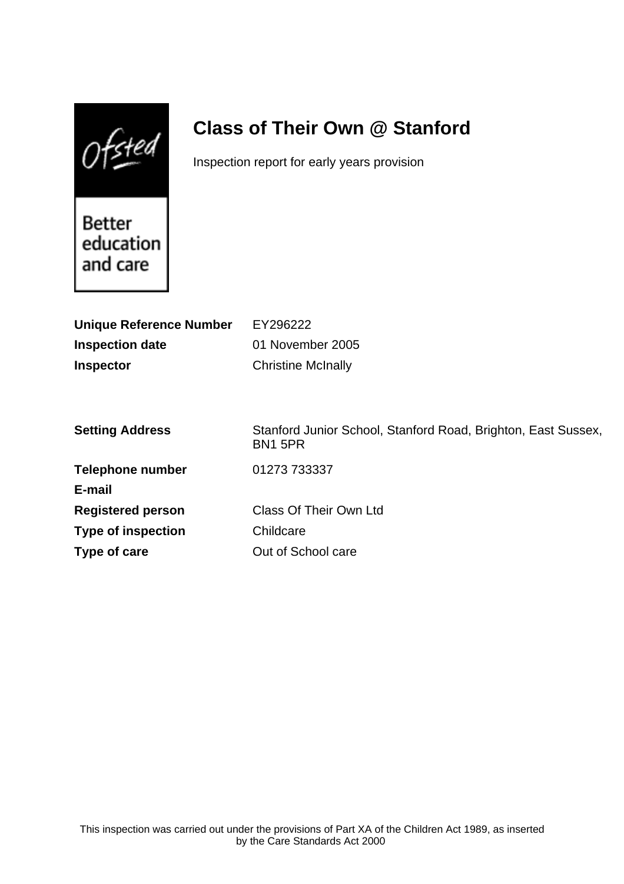$Of$ sted

# **Class of Their Own @ Stanford**

Inspection report for early years provision

Better education and care

| <b>Unique Reference Number</b> | EY296222                                                                 |
|--------------------------------|--------------------------------------------------------------------------|
| <b>Inspection date</b>         | 01 November 2005                                                         |
| <b>Inspector</b>               | <b>Christine McInally</b>                                                |
|                                |                                                                          |
|                                |                                                                          |
| <b>Setting Address</b>         | Stanford Junior School, Stanford Road, Brighton, East Sussex,<br>BN1 5PR |
| <b>Telephone number</b>        | 01273 733337                                                             |
| E-mail                         |                                                                          |
| <b>Registered person</b>       | <b>Class Of Their Own Ltd</b>                                            |
| <b>Type of inspection</b>      | Childcare                                                                |
| Type of care                   | Out of School care                                                       |
|                                |                                                                          |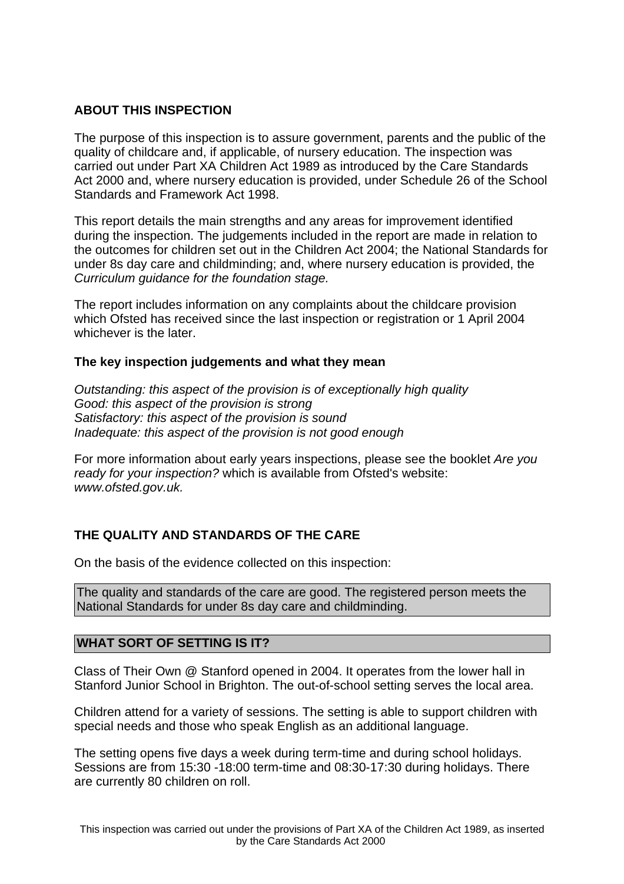## **ABOUT THIS INSPECTION**

The purpose of this inspection is to assure government, parents and the public of the quality of childcare and, if applicable, of nursery education. The inspection was carried out under Part XA Children Act 1989 as introduced by the Care Standards Act 2000 and, where nursery education is provided, under Schedule 26 of the School Standards and Framework Act 1998.

This report details the main strengths and any areas for improvement identified during the inspection. The judgements included in the report are made in relation to the outcomes for children set out in the Children Act 2004; the National Standards for under 8s day care and childminding; and, where nursery education is provided, the Curriculum guidance for the foundation stage.

The report includes information on any complaints about the childcare provision which Ofsted has received since the last inspection or registration or 1 April 2004 whichever is the later.

#### **The key inspection judgements and what they mean**

Outstanding: this aspect of the provision is of exceptionally high quality Good: this aspect of the provision is strong Satisfactory: this aspect of the provision is sound Inadequate: this aspect of the provision is not good enough

For more information about early years inspections, please see the booklet Are you ready for your inspection? which is available from Ofsted's website: www.ofsted.gov.uk.

# **THE QUALITY AND STANDARDS OF THE CARE**

On the basis of the evidence collected on this inspection:

The quality and standards of the care are good. The registered person meets the National Standards for under 8s day care and childminding.

#### **WHAT SORT OF SETTING IS IT?**

Class of Their Own @ Stanford opened in 2004. It operates from the lower hall in Stanford Junior School in Brighton. The out-of-school setting serves the local area.

Children attend for a variety of sessions. The setting is able to support children with special needs and those who speak English as an additional language.

The setting opens five days a week during term-time and during school holidays. Sessions are from 15:30 -18:00 term-time and 08:30-17:30 during holidays. There are currently 80 children on roll.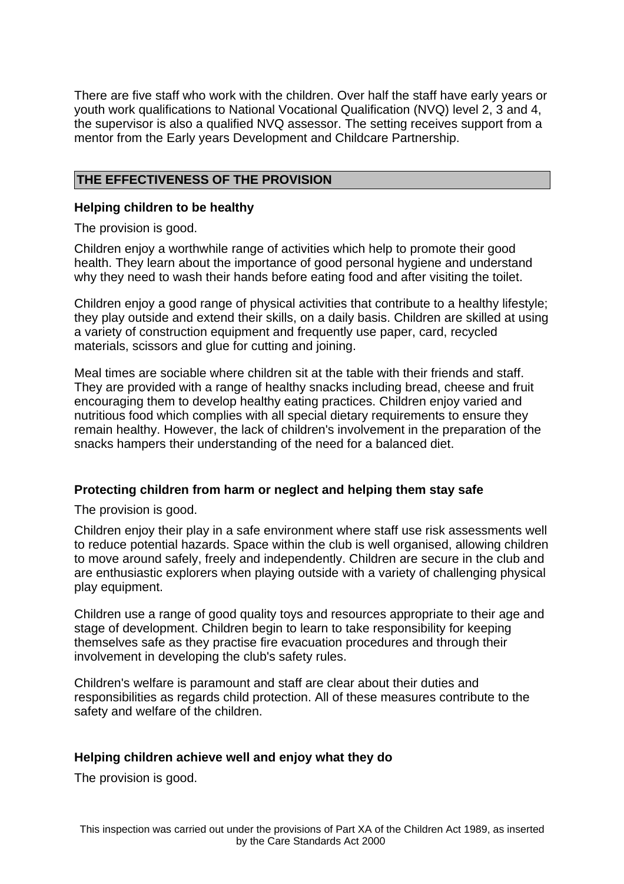There are five staff who work with the children. Over half the staff have early years or youth work qualifications to National Vocational Qualification (NVQ) level 2, 3 and 4, the supervisor is also a qualified NVQ assessor. The setting receives support from a mentor from the Early years Development and Childcare Partnership.

## **THE EFFECTIVENESS OF THE PROVISION**

#### **Helping children to be healthy**

The provision is good.

Children enjoy a worthwhile range of activities which help to promote their good health. They learn about the importance of good personal hygiene and understand why they need to wash their hands before eating food and after visiting the toilet.

Children enjoy a good range of physical activities that contribute to a healthy lifestyle; they play outside and extend their skills, on a daily basis. Children are skilled at using a variety of construction equipment and frequently use paper, card, recycled materials, scissors and glue for cutting and joining.

Meal times are sociable where children sit at the table with their friends and staff. They are provided with a range of healthy snacks including bread, cheese and fruit encouraging them to develop healthy eating practices. Children enjoy varied and nutritious food which complies with all special dietary requirements to ensure they remain healthy. However, the lack of children's involvement in the preparation of the snacks hampers their understanding of the need for a balanced diet.

#### **Protecting children from harm or neglect and helping them stay safe**

The provision is good.

Children enjoy their play in a safe environment where staff use risk assessments well to reduce potential hazards. Space within the club is well organised, allowing children to move around safely, freely and independently. Children are secure in the club and are enthusiastic explorers when playing outside with a variety of challenging physical play equipment.

Children use a range of good quality toys and resources appropriate to their age and stage of development. Children begin to learn to take responsibility for keeping themselves safe as they practise fire evacuation procedures and through their involvement in developing the club's safety rules.

Children's welfare is paramount and staff are clear about their duties and responsibilities as regards child protection. All of these measures contribute to the safety and welfare of the children.

#### **Helping children achieve well and enjoy what they do**

The provision is good.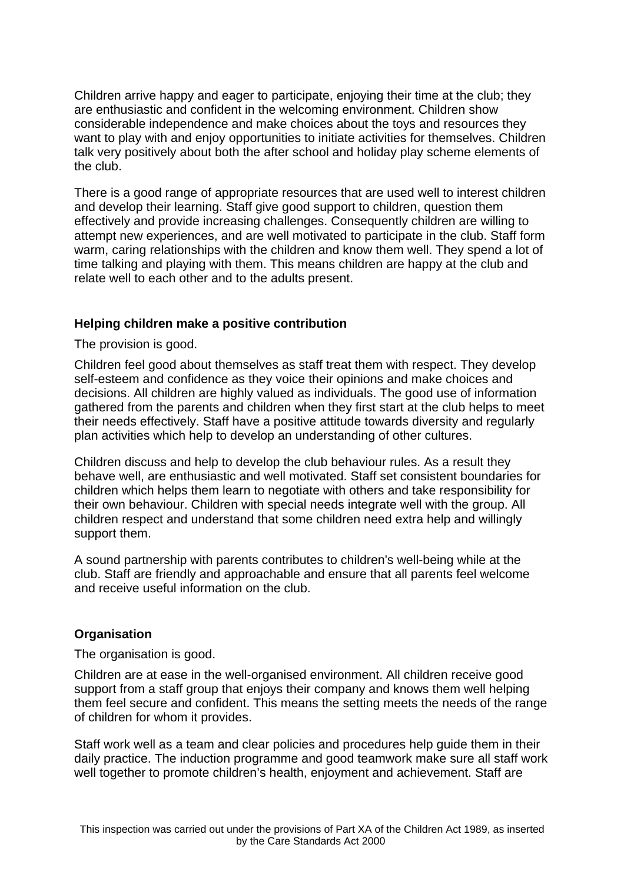Children arrive happy and eager to participate, enjoying their time at the club; they are enthusiastic and confident in the welcoming environment. Children show considerable independence and make choices about the toys and resources they want to play with and enjoy opportunities to initiate activities for themselves. Children talk very positively about both the after school and holiday play scheme elements of the club.

There is a good range of appropriate resources that are used well to interest children and develop their learning. Staff give good support to children, question them effectively and provide increasing challenges. Consequently children are willing to attempt new experiences, and are well motivated to participate in the club. Staff form warm, caring relationships with the children and know them well. They spend a lot of time talking and playing with them. This means children are happy at the club and relate well to each other and to the adults present.

## **Helping children make a positive contribution**

The provision is good.

Children feel good about themselves as staff treat them with respect. They develop self-esteem and confidence as they voice their opinions and make choices and decisions. All children are highly valued as individuals. The good use of information gathered from the parents and children when they first start at the club helps to meet their needs effectively. Staff have a positive attitude towards diversity and regularly plan activities which help to develop an understanding of other cultures.

Children discuss and help to develop the club behaviour rules. As a result they behave well, are enthusiastic and well motivated. Staff set consistent boundaries for children which helps them learn to negotiate with others and take responsibility for their own behaviour. Children with special needs integrate well with the group. All children respect and understand that some children need extra help and willingly support them.

A sound partnership with parents contributes to children's well-being while at the club. Staff are friendly and approachable and ensure that all parents feel welcome and receive useful information on the club.

# **Organisation**

The organisation is good.

Children are at ease in the well-organised environment. All children receive good support from a staff group that enjoys their company and knows them well helping them feel secure and confident. This means the setting meets the needs of the range of children for whom it provides.

Staff work well as a team and clear policies and procedures help guide them in their daily practice. The induction programme and good teamwork make sure all staff work well together to promote children's health, enjoyment and achievement. Staff are